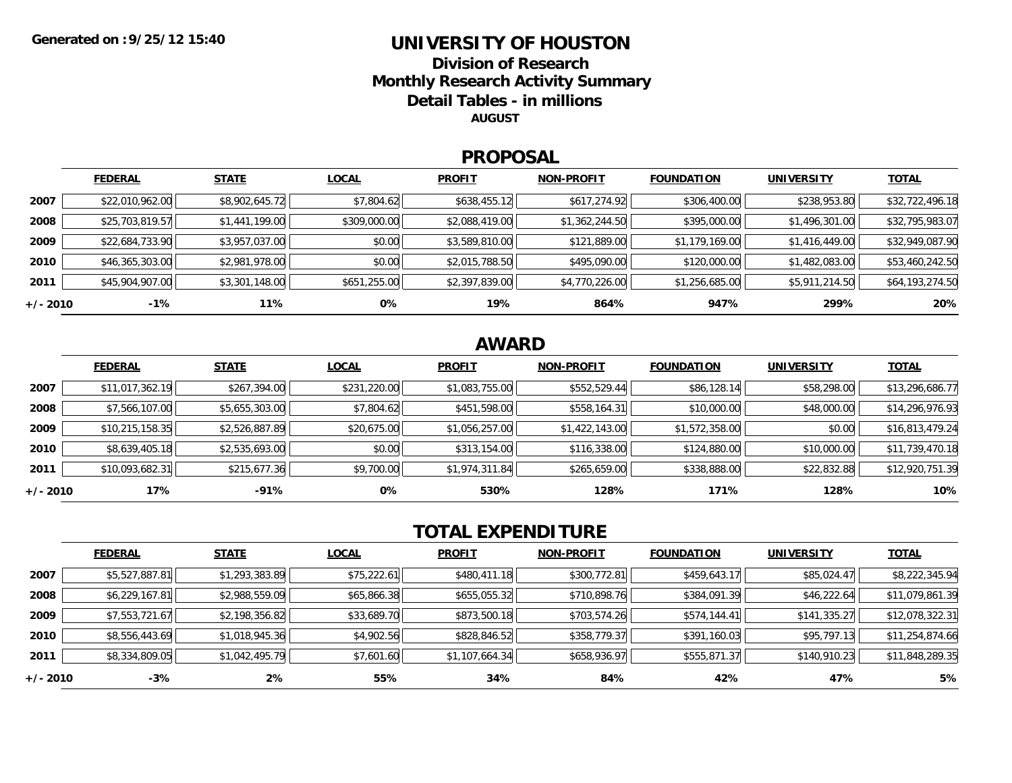### **UNIVERSITY OF HOUSTONDivision of ResearchMonthly Research Activity Summary Detail Tables - in millions AUGUST**

#### **PROPOSAL**

|            | <b>FEDERAL</b>  | <b>STATE</b>   | <b>LOCAL</b> | <b>PROFIT</b>  | <b>NON-PROFIT</b> | <b>FOUNDATION</b> | <b>UNIVERSITY</b> | <b>TOTAL</b>    |
|------------|-----------------|----------------|--------------|----------------|-------------------|-------------------|-------------------|-----------------|
| 2007       | \$22,010,962.00 | \$8,902,645.72 | \$7,804.62   | \$638,455.12   | \$617,274.92      | \$306,400.00      | \$238,953.80      | \$32,722,496.18 |
| 2008       | \$25,703,819.57 | \$1,441,199.00 | \$309,000.00 | \$2,088,419.00 | \$1,362,244.50    | \$395,000.00      | \$1,496,301.00    | \$32,795,983.07 |
| 2009       | \$22,684,733.90 | \$3,957,037.00 | \$0.00       | \$3,589,810.00 | \$121,889.00      | \$1,179,169.00    | \$1,416,449.00    | \$32,949,087.90 |
| 2010       | \$46,365,303.00 | \$2,981,978.00 | \$0.00       | \$2,015,788.50 | \$495,090.00      | \$120,000.00      | \$1,482,083.00    | \$53,460,242.50 |
| 2011       | \$45,904,907.00 | \$3,301,148.00 | \$651,255.00 | \$2,397,839.00 | \$4,770,226.00    | \$1,256,685.00    | \$5,911,214.50    | \$64,193,274.50 |
| $+/- 2010$ | $-1%$           | 11%            | 0%           | 19%            | 864%              | 947%              | 299%              | 20%             |

## **AWARD**

|          | <b>FEDERAL</b>  | <b>STATE</b>   | <b>LOCAL</b> | <b>PROFIT</b>  | <b>NON-PROFIT</b> | <b>FOUNDATION</b> | <b>UNIVERSITY</b> | <b>TOTAL</b>    |
|----------|-----------------|----------------|--------------|----------------|-------------------|-------------------|-------------------|-----------------|
| 2007     | \$11,017,362.19 | \$267,394.00   | \$231,220.00 | \$1,083,755.00 | \$552,529.44      | \$86,128.14       | \$58,298.00       | \$13,296,686.77 |
| 2008     | \$7,566,107.00  | \$5,655,303.00 | \$7,804.62   | \$451,598.00   | \$558,164.31      | \$10,000.00       | \$48,000.00       | \$14,296,976.93 |
| 2009     | \$10,215,158.35 | \$2,526,887.89 | \$20,675.00  | \$1,056,257.00 | \$1,422,143.00    | \$1,572,358.00    | \$0.00            | \$16,813,479.24 |
| 2010     | \$8,639,405.18  | \$2,535,693.00 | \$0.00       | \$313,154.00   | \$116,338.00      | \$124,880.00      | \$10,000.00       | \$11,739,470.18 |
| 2011     | \$10,093,682.31 | \$215,677.36   | \$9,700.00   | \$1,974,311.84 | \$265,659.00      | \$338,888.00      | \$22,832.88       | \$12,920,751.39 |
| +/- 2010 | 17%             | $-91%$         | 0%           | 530%           | 128%              | 171%              | 128%              | 10%             |

# **TOTAL EXPENDITURE**

|            | <b>FEDERAL</b> | <b>STATE</b>   | <b>LOCAL</b> | <b>PROFIT</b>  | <b>NON-PROFIT</b> | <b>FOUNDATION</b> | <b>UNIVERSITY</b> | <b>TOTAL</b>    |
|------------|----------------|----------------|--------------|----------------|-------------------|-------------------|-------------------|-----------------|
| 2007       | \$5,527,887.81 | \$1,293,383.89 | \$75,222.61  | \$480,411.18   | \$300,772.81      | \$459,643.17      | \$85,024.47       | \$8,222,345.94  |
| 2008       | \$6,229,167.81 | \$2,988,559.09 | \$65,866.38  | \$655,055.32   | \$710,898.76      | \$384,091.39      | \$46,222.64       | \$11,079,861.39 |
| 2009       | \$7,553,721.67 | \$2,198,356.82 | \$33,689.70  | \$873,500.18   | \$703,574.26      | \$574,144.41      | \$141,335.27      | \$12,078,322.31 |
| 2010       | \$8,556,443.69 | \$1,018,945.36 | \$4,902.56   | \$828,846.52   | \$358,779.37      | \$391,160.03      | \$95,797.13       | \$11,254,874.66 |
| 2011       | \$8,334,809.05 | \$1,042,495.79 | \$7,601.60   | \$1,107,664.34 | \$658,936.97      | \$555,871.37      | \$140,910.23      | \$11,848,289.35 |
| $+/- 2010$ | $-3%$          | 2%             | 55%          | 34%            | 84%               | 42%               | 47%               | 5%              |